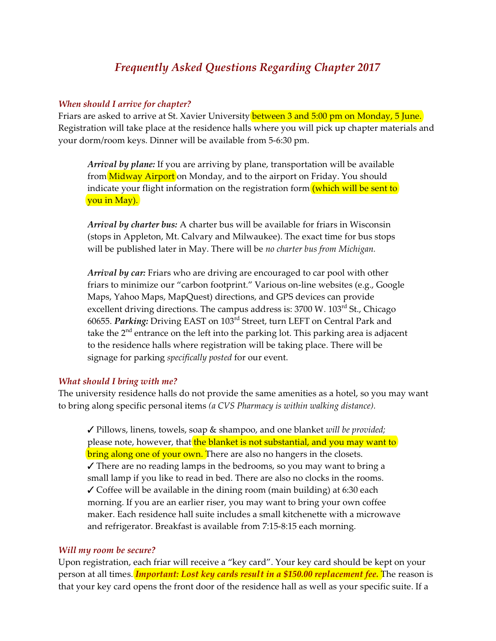# *Frequently Asked Questions Regarding Chapter 2017*

#### *When should I arrive for chapter?*

Friars are asked to arrive at St. Xavier University **between 3 and 5:00 pm on Monday, 5 June.** Registration will take place at the residence halls where you will pick up chapter materials and your dorm/room keys. Dinner will be available from 5-6:30 pm.

*Arrival by plane:* If you are arriving by plane, transportation will be available from Midway Airport on Monday, and to the airport on Friday. You should indicate your flight information on the registration form (which will be sent to you in May).

*Arrival by charter bus:* A charter bus will be available for friars in Wisconsin (stops in Appleton, Mt. Calvary and Milwaukee). The exact time for bus stops will be published later in May. There will be *no charter bus from Michigan.* 

*Arrival by car:* Friars who are driving are encouraged to car pool with other friars to minimize our "carbon footprint." Various on-line websites (e.g., Google Maps, Yahoo Maps, MapQuest) directions, and GPS devices can provide excellent driving directions. The campus address is: 3700 W. 103<sup>rd</sup> St., Chicago 60655. *Parking:* Driving EAST on 103rd Street, turn LEFT on Central Park and take the 2<sup>nd</sup> entrance on the left into the parking lot. This parking area is adjacent to the residence halls where registration will be taking place. There will be signage for parking *specifically posted* for our event.

#### *What should I bring with me?*

The university residence halls do not provide the same amenities as a hotel, so you may want to bring along specific personal items *(a CVS Pharmacy is within walking distance).*

T Pillows, linens, towels, soap & shampoo, and one blanket *will be provided;* please note, however, that the blanket is not substantial, and you may want to bring along one of your own. There are also no hangers in the closets.  $\checkmark$  There are no reading lamps in the bedrooms, so you may want to bring a small lamp if you like to read in bed. There are also no clocks in the rooms.  $\checkmark$  Coffee will be available in the dining room (main building) at 6:30 each morning. If you are an earlier riser, you may want to bring your own coffee maker. Each residence hall suite includes a small kitchenette with a microwave and refrigerator. Breakfast is available from 7:15-8:15 each morning.

#### *Will my room be secure?*

Upon registration, each friar will receive a "key card". Your key card should be kept on your person at all times. *Important: Lost key cards result in a \$150.00 replacement fee.* The reason is that your key card opens the front door of the residence hall as well as your specific suite. If a